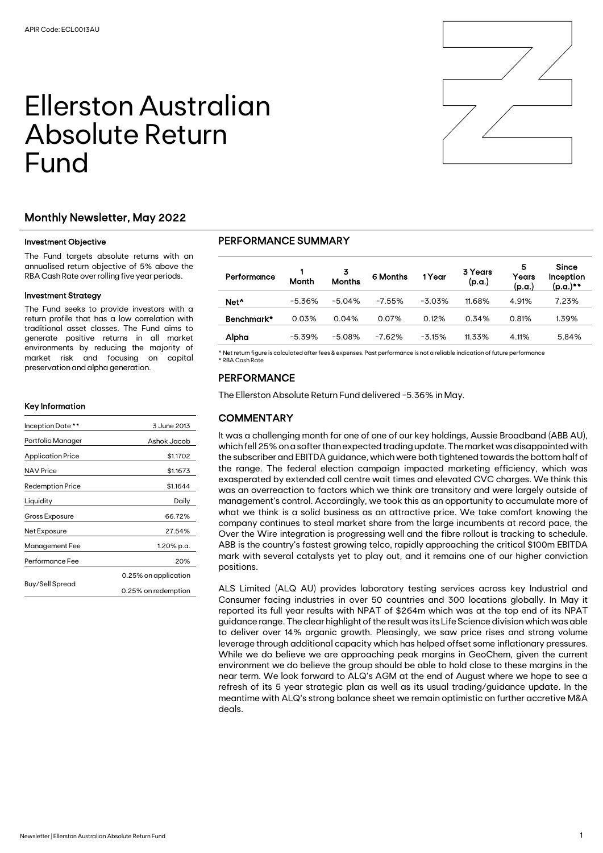# Ellerston Australian Absolute Return Fund



### Investment Objective

The Fund targets absolute returns with an annualised return objective of 5% above the RBA Cash Rate over rolling five year periods.

#### Investment Strategy

The Fund seeks to provide investors with a return profile that has a low correlation with traditional asset classes. The Fund aims to generate positive returns in all market environments by reducing the majority of market risk and focusing on capital preservation and alpha generation.

#### Key Information

| Inception Date **        | 3 June 2013          |
|--------------------------|----------------------|
| Portfolio Manager        | Ashok Jacob          |
| <b>Application Price</b> | \$1.1702             |
| NAV Price                | \$1.1673             |
| <b>Redemption Price</b>  | \$1.1644             |
| Liquidity                | Daily                |
| Gross Exposure           | 66.72%               |
| Net Exposure             | 27.54%               |
| Management Fee           | 1.20% p.a.           |
| Performance Fee          | 20%                  |
|                          | 0.25% on application |
| Buy/Sell Spread          | 0.25% on redemption  |

## PERFORMANCE SUMMARY

| Performance      | Month     | 3<br><b>Months</b> | 6 Months  | 1 Year   | 3 Years<br>(p.a.) | 5<br>Years<br>(p.a.) | <b>Since</b><br>Inception<br>$(p.a.)**$ |
|------------------|-----------|--------------------|-----------|----------|-------------------|----------------------|-----------------------------------------|
| Net <sup>^</sup> | $-5.36\%$ | $-5.04%$           | $-7.55\%$ | $-3.03%$ | 11.68%            | 4.91%                | 7.23%                                   |
| Benchmark*       | 0.03%     | 0.04%              | 0.07%     | 0.12%    | 0.34%             | 0.81%                | 1.39%                                   |
| Alpha            | $-5.39%$  | $-5.08\%$          | $-7.62%$  | $-3.15%$ | 11.33%            | 4.11%                | 5.84%                                   |
|                  |           |                    |           |          |                   |                      |                                         |

^ Net return figure is calculated after fees & expenses. Past performance is not a reliable indication of future performance \* RBA Cash Rate

## PERFORMANCE

The Ellerston Absolute Return Fund delivered -5.36% in May.

## **COMMENTARY**

It was a challenging month for one of one of our key holdings, Aussie Broadband (ABB AU), which fell 25% on a softer than expected trading update. The market was disappointed with the subscriber and EBITDA guidance, which were both tightened towards the bottom half of the range. The federal election campaign impacted marketing efficiency, which was exasperated by extended call centre wait times and elevated CVC charges. We think this was an overreaction to factors which we think are transitory and were largely outside of management's control. Accordingly, we took this as an opportunity to accumulate more of what we think is a solid business as an attractive price. We take comfort knowing the company continues to steal market share from the large incumbents at record pace, the Over the Wire integration is progressing well and the fibre rollout is tracking to schedule. ABB is the country's fastest growing telco, rapidly approaching the critical \$100m EBITDA mark with several catalysts yet to play out, and it remains one of our higher conviction positions.

ALS Limited (ALQ AU) provides laboratory testing services across key Industrial and Consumer facing industries in over 50 countries and 300 locations globally. In May it reported its full year results with NPAT of \$264m which was at the top end of its NPAT guidance range. The clear highlight of the result was its Life Science division which was able to deliver over 14% organic growth. Pleasingly, we saw price rises and strong volume leverage through additional capacity which has helped offset some inflationary pressures. While we do believe we are approaching peak margins in GeoChem, given the current environment we do believe the group should be able to hold close to these margins in the near term. We look forward to ALQ's AGM at the end of August where we hope to see a refresh of its 5 year strategic plan as well as its usual trading/guidance update. In the meantime with ALQ's strong balance sheet we remain optimistic on further accretive M&A deals.